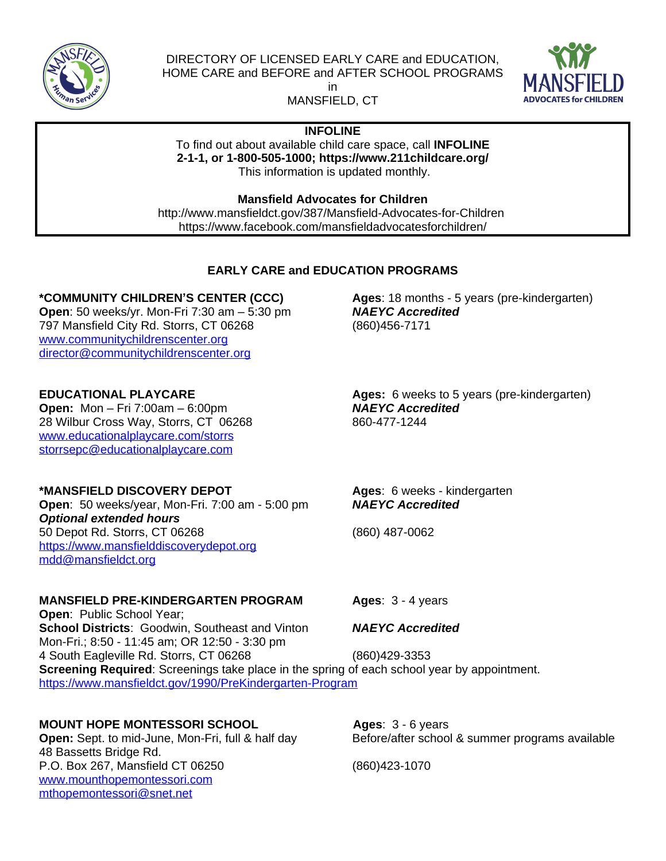

DIRECTORY OF LICENSED EARLY CARE and EDUCATION, HOME CARE and BEFORE and AFTER SCHOOL PROGRAMS

> in MANSFIELD, CT



### **INFOLINE**

To find out about available child care space, call **INFOLINE 2-1-1, or 1-800-505-1000; https://www.211childcare.org/** This information is updated monthly.

**Mansfield Advocates for Children**

http://www.mansfieldct.gov/387/Mansfield-Advocates-for-Children https://www.facebook.com/mansfieldadvocatesforchildren/

# **EARLY CARE and EDUCATION PROGRAMS**

**Open:** 50 weeks/yr. Mon-Fri 7:30 am – 5:30 pm 797 Mansfield City Rd. Storrs, CT 06268 (860)456-7171 [www.communitychildrenscenter.org](http://www.communitychildrenscenter.org) [director@communitychildrenscenter.org](mailto:director@communitychildrenscenter.org)

**Open:** Mon – Fri 7:00am – 6:00pm *NAEYC Accredited* 28 Wilbur Cross Way, Storrs, CT 06268 860-477-1244 [www.educationalplaycare.com/storrs](http://www.educationalplaycare.com/storrs) [storrsepc@educationalplaycare.com](mailto:storrsepc@educationalplaycare.com)

**Open:** 50 weeks/year, Mon-Fri. 7:00 am - 5:00 pm *Optional extended hours* 50 Depot Rd. Storrs, CT 06268 (860) 487-0062 <https://www.mansfielddiscoverydepot.org> [mdd@mansfieldct.org](mailto:mdd@mansfieldct.org)

# **MANSFIELD PRE-KINDERGARTEN PROGRAM Ages**: 3 - 4 years

**Open**: Public School Year; **School Districts**: Goodwin, Southeast and Vinton *NAEYC Accredited* Mon-Fri.; 8:50 - 11:45 am; OR 12:50 - 3:30 pm 4 South Eagleville Rd. Storrs, CT 06268 (860)429-3353 **Screening Required:** Screenings take place in the spring of each school year by appointment. <https://www.mansfieldct.gov/1990/PreKindergarten-Program>

# **MOUNT HOPE MONTESSORI SCHOOL 6 Ages: 3 - 6 years**

48 Bassetts Bridge Rd. P.O. Box 267, Mansfield CT 06250 (860)423-1070 [www.mounthopemontessori.com](http://www.mounthopemontessori.com) [mthopemontessori@snet.net](mailto:mthopemontessori@snet.net)

**\*COMMUNITY CHILDREN'S CENTER (CCC) Ages**: 18 months - 5 years (pre-kindergarten)

**EDUCATIONAL PLAYCARE Ages:** 6 weeks to 5 years (pre-kindergarten)

**\*MANSFIELD DISCOVERY DEPOT Ages**: 6 weeks - kindergarten<br> **Open**: 50 weeks/vear, Mon-Fri, 7:00 am - 5:00 pm **NAEYC Accredited** 

**Open:** Sept. to mid-June, Mon-Fri, full & half day Before/after school & summer programs available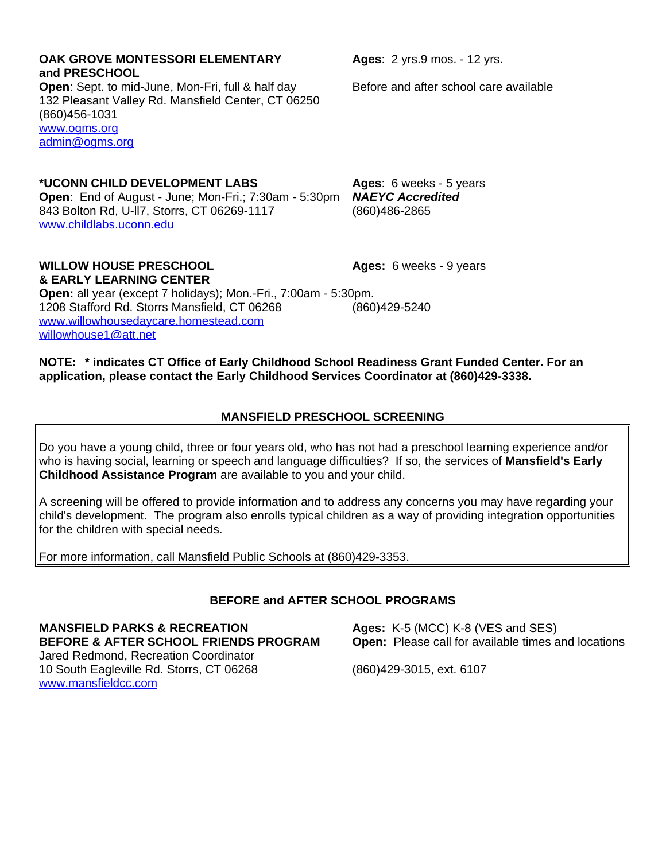## **OAK GROVE MONTESSORI ELEMENTARY Ages**: 2 yrs.9 mos. - 12 yrs. **and PRESCHOOL Open:** Sept. to mid-June, Mon-Fri, full & half day Before and after school care available 132 Pleasant Valley Rd. Mansfield Center, CT 06250 (860)456-1031 [www.ogms.org](http://www.ogms.org) [admin@ogms.org](mailto:admin@ogms.org)

**\*UCONN CHILD DEVELOPMENT LABS Ages**: 6 weeks - 5 years **Open**: End of August - June; Mon-Fri.; 7:30am - 5:30pm *NAEYC Accredited* 843 Bolton Rd, U-ll7, Storrs, CT 06269-1117 (860)486-2865 [www.childlabs.uconn.edu](http://www.childlabs.uconn.edu)

**& EARLY LEARNING CENTER Open:** all year (except 7 holidays); Mon.-Fri., 7:00am - 5:30pm. 1208 Stafford Rd. Storrs Mansfield, CT 06268 (860)429-5240 [www.willowhousedaycare.homestead.com](http://www.willowhousedaycare.homestead.com) [willowhouse1@att.net](mailto:willowhouse1@att.net)

**NOTE: \* indicates CT Office of Early Childhood School Readiness Grant Funded Center. For an application, please contact the Early Childhood Services Coordinator at (860)429-3338.**

# **MANSFIELD PRESCHOOL SCREENING**

Do you have a young child, three or four years old, who has not had a preschool learning experience and/or who is having social, learning or speech and language difficulties? If so, the services of **Mansfield's Early Childhood Assistance Program** are available to you and your child.

A screening will be offered to provide information and to address any concerns you may have regarding your child's development. The program also enrolls typical children as a way of providing integration opportunities for the children with special needs.

For more information, call Mansfield Public Schools at (860)429-3353.

### **BEFORE and AFTER SCHOOL PROGRAMS**

**MANSFIELD PARKS & RECREATION Ages:** K-5 (MCC) K-8 (VES and SES) **BEFORE & AFTER SCHOOL FRIENDS PROGRAM Open:** Please call for available times and locations Jared Redmond, Recreation Coordinator 10 South Eagleville Rd. Storrs, CT 06268 (860)429-3015, ext. 6107 [www.mansfieldcc.com](http://www.mansfieldcc.com)

**WILLOW HOUSE PRESCHOOL Ages: 6 weeks - 9 years**